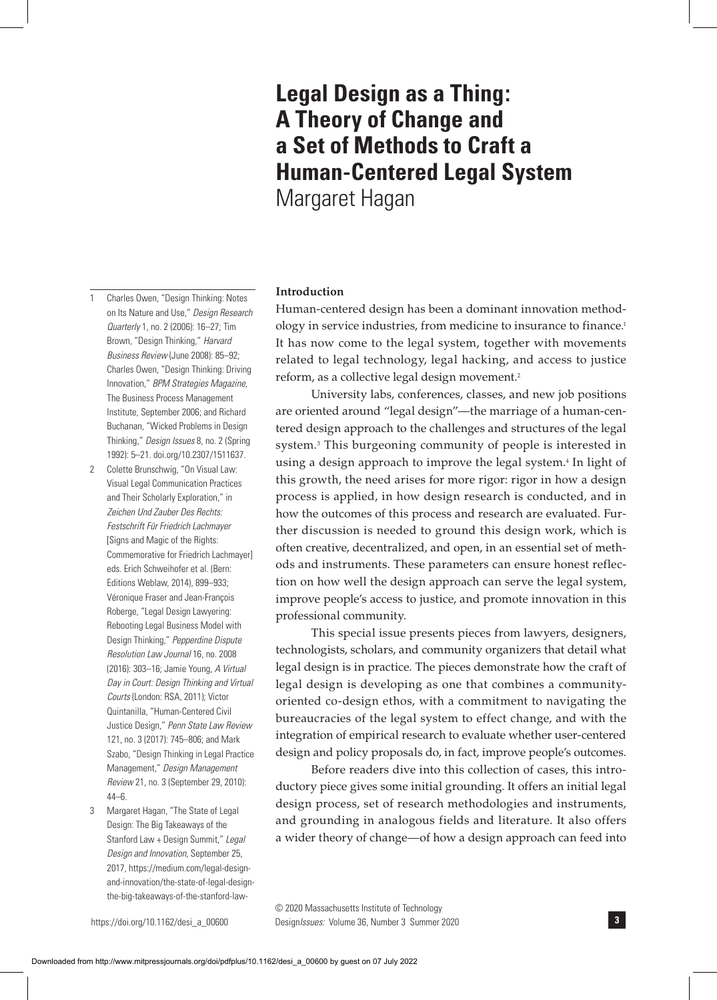# **Legal Design as a Thing: A Theory of Change and a Set of Methods to Craft a Human-Centered Legal System** Margaret Hagan

## **Introduction**

Human-centered design has been a dominant innovation methodology in service industries, from medicine to insurance to finance.1 It has now come to the legal system, together with movements related to legal technology, legal hacking, and access to justice reform, as a collective legal design movement.2

University labs, conferences, classes, and new job positions are oriented around "legal design"—the marriage of a human-centered design approach to the challenges and structures of the legal system.3 This burgeoning community of people is interested in using a design approach to improve the legal system.<sup>4</sup> In light of this growth, the need arises for more rigor: rigor in how a design process is applied, in how design research is conducted, and in how the outcomes of this process and research are evaluated. Further discussion is needed to ground this design work, which is often creative, decentralized, and open, in an essential set of methods and instruments. These parameters can ensure honest reflection on how well the design approach can serve the legal system, improve people's access to justice, and promote innovation in this professional community.

This special issue presents pieces from lawyers, designers, technologists, scholars, and community organizers that detail what legal design is in practice. The pieces demonstrate how the craft of legal design is developing as one that combines a communityoriented co-design ethos, with a commitment to navigating the bureaucracies of the legal system to effect change, and with the integration of empirical research to evaluate whether user-centered design and policy proposals do, in fact, improve people's outcomes.

Before readers dive into this collection of cases, this introductory piece gives some initial grounding. It offers an initial legal design process, set of research methodologies and instruments, and grounding in analogous fields and literature. It also offers a wider theory of change—of how a design approach can feed into

on Its Nature and Use," *Design Research Quarterly* 1, no. 2 (2006): 16–27; Tim Brown, "Design Thinking," *Harvard Business Review* (June 2008): 85–92; Charles Owen, "Design Thinking: Driving Innovation," *BPM Strategies Magazine,*  The Business Process Management Institute, September 2006; and Richard Buchanan, "Wicked Problems in Design Thinking," *Design Issues* 8, no. 2 (Spring 1992): 5–21. doi.org/10.2307/1511637.

1 Charles Owen, "Design Thinking: Notes

- 2 Colette Brunschwig, "On Visual Law: Visual Legal Communication Practices and Their Scholarly Exploration," in *Zeichen Und Zauber Des Rechts: Festschrift Für Friedrich Lachmayer*  [Signs and Magic of the Rights: Commemorative for Friedrich Lachmayer] eds. Erich Schweihofer et al. (Bern: Editions Weblaw, 2014), 899–933; Véronique Fraser and Jean-François Roberge, "Legal Design Lawyering: Rebooting Legal Business Model with Design Thinking," *Pepperdine Dispute Resolution Law Journal* 16, no. 2008 (2016): 303–16; Jamie Young, *A Virtual Day in Court: Design Thinking and Virtual Courts* (London: RSA, 2011); Victor Quintanilla, "Human-Centered Civil Justice Design," *Penn State Law Review*  121, no. 3 (2017): 745–806; and Mark Szabo, "Design Thinking in Legal Practice Management," *Design Management Review* 21, no. 3 (September 29, 2010): 44–6.
- 3 Margaret Hagan, "The State of Legal Design: The Big Takeaways of the Stanford Law + Design Summit," *Legal Design and Innovation,* September 25, 2017, https://medium.com/legal-designand-innovation/the-state-of-legal-designthe-big-takeaways-of-the-stanford-law-

Design*Issues:* Volume 36, Number 3 Summer 2020 **3** © 2020 Massachusetts Institute of Technology

Downloaded from http://www.mitpressjournals.org/doi/pdfplus/10.1162/desi\_a\_00600 by guest on 07 July 2022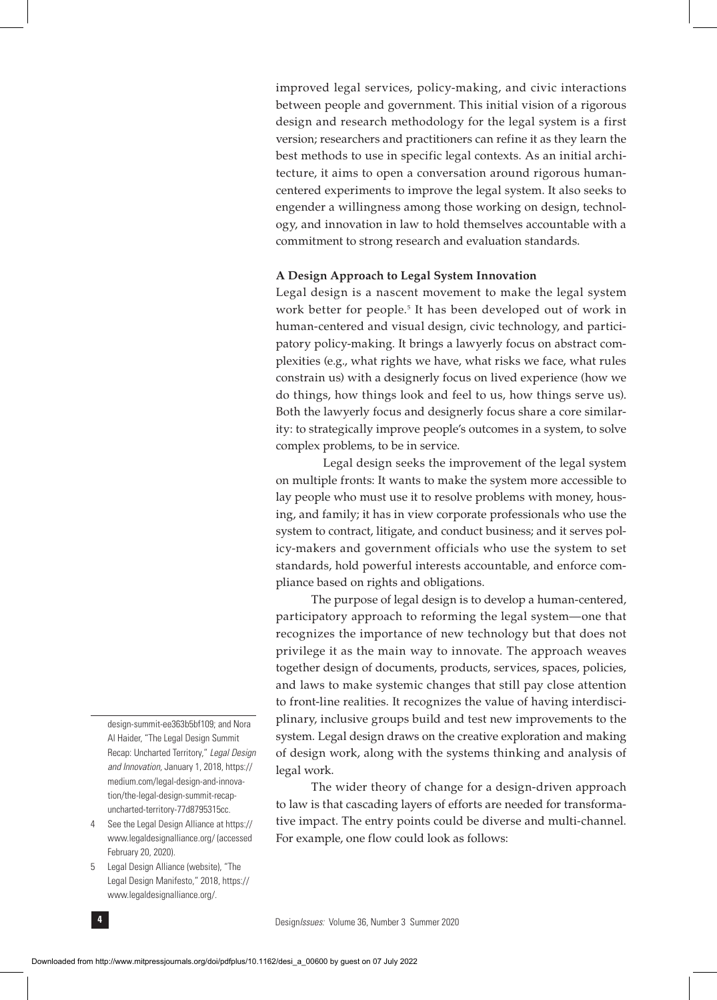improved legal services, policy-making, and civic interactions between people and government. This initial vision of a rigorous design and research methodology for the legal system is a first version; researchers and practitioners can refine it as they learn the best methods to use in specific legal contexts. As an initial architecture, it aims to open a conversation around rigorous humancentered experiments to improve the legal system. It also seeks to engender a willingness among those working on design, technology, and innovation in law to hold themselves accountable with a commitment to strong research and evaluation standards.

## **A Design Approach to Legal System Innovation**

Legal design is a nascent movement to make the legal system work better for people.<sup>5</sup> It has been developed out of work in human-centered and visual design, civic technology, and participatory policy-making. It brings a lawyerly focus on abstract complexities (e.g., what rights we have, what risks we face, what rules constrain us) with a designerly focus on lived experience (how we do things, how things look and feel to us, how things serve us). Both the lawyerly focus and designerly focus share a core similarity: to strategically improve people's outcomes in a system, to solve complex problems, to be in service.

 Legal design seeks the improvement of the legal system on multiple fronts: It wants to make the system more accessible to lay people who must use it to resolve problems with money, housing, and family; it has in view corporate professionals who use the system to contract, litigate, and conduct business; and it serves policy-makers and government officials who use the system to set standards, hold powerful interests accountable, and enforce compliance based on rights and obligations.

The purpose of legal design is to develop a human-centered, participatory approach to reforming the legal system—one that recognizes the importance of new technology but that does not privilege it as the main way to innovate. The approach weaves together design of documents, products, services, spaces, policies, and laws to make systemic changes that still pay close attention to front-line realities. It recognizes the value of having interdisciplinary, inclusive groups build and test new improvements to the system. Legal design draws on the creative exploration and making of design work, along with the systems thinking and analysis of legal work.

The wider theory of change for a design-driven approach to law is that cascading layers of efforts are needed for transformative impact. The entry points could be diverse and multi-channel. For example, one flow could look as follows:

- 4 See the Legal Design Alliance at https:// www.legaldesignalliance.org/ (accessed February 20, 2020).
- 5 Legal Design Alliance (website), "The Legal Design Manifesto," 2018, https:// www.legaldesignalliance.org/.

design-summit-ee363b5bf109; and Nora Al Haider, "The Legal Design Summit Recap: Uncharted Territory," *Legal Design and Innovation,* January 1, 2018, https:// medium.com/legal-design-and-innovation/the-legal-design-summit-recapuncharted-territory-77d8795315cc.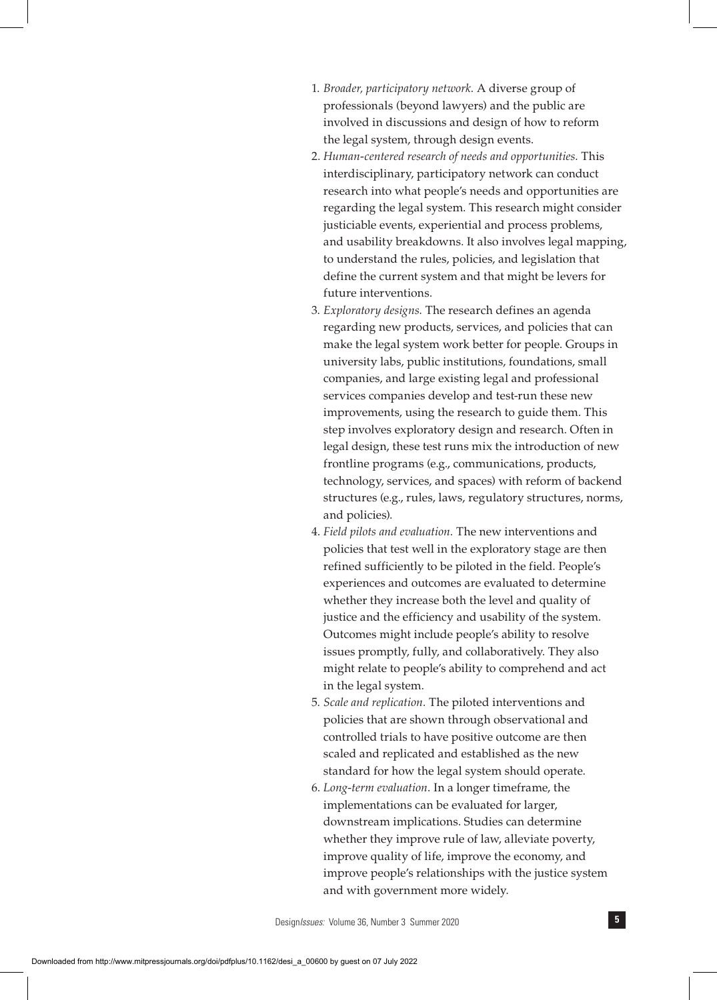- 1. *Broader, participatory network.* A diverse group of professionals (beyond lawyers) and the public are involved in discussions and design of how to reform the legal system, through design events.
- 2. *Human-centered research of needs and opportunities.* This interdisciplinary, participatory network can conduct research into what people's needs and opportunities are regarding the legal system. This research might consider justiciable events, experiential and process problems, and usability breakdowns. It also involves legal mapping, to understand the rules, policies, and legislation that define the current system and that might be levers for future interventions.
- 3. *Exploratory designs.* The research defines an agenda regarding new products, services, and policies that can make the legal system work better for people. Groups in university labs, public institutions, foundations, small companies, and large existing legal and professional services companies develop and test-run these new improvements, using the research to guide them. This step involves exploratory design and research. Often in legal design, these test runs mix the introduction of new frontline programs (e.g., communications, products, technology, services, and spaces) with reform of backend structures (e.g., rules, laws, regulatory structures, norms, and policies).
- 4. *Field pilots and evaluation.* The new interventions and policies that test well in the exploratory stage are then refined sufficiently to be piloted in the field. People's experiences and outcomes are evaluated to determine whether they increase both the level and quality of justice and the efficiency and usability of the system. Outcomes might include people's ability to resolve issues promptly, fully, and collaboratively. They also might relate to people's ability to comprehend and act in the legal system.
- 5. *Scale and replication.* The piloted interventions and policies that are shown through observational and controlled trials to have positive outcome are then scaled and replicated and established as the new standard for how the legal system should operate.
- 6. *Long-term evaluation.* In a longer timeframe, the implementations can be evaluated for larger, downstream implications. Studies can determine whether they improve rule of law, alleviate poverty, improve quality of life, improve the economy, and improve people's relationships with the justice system and with government more widely.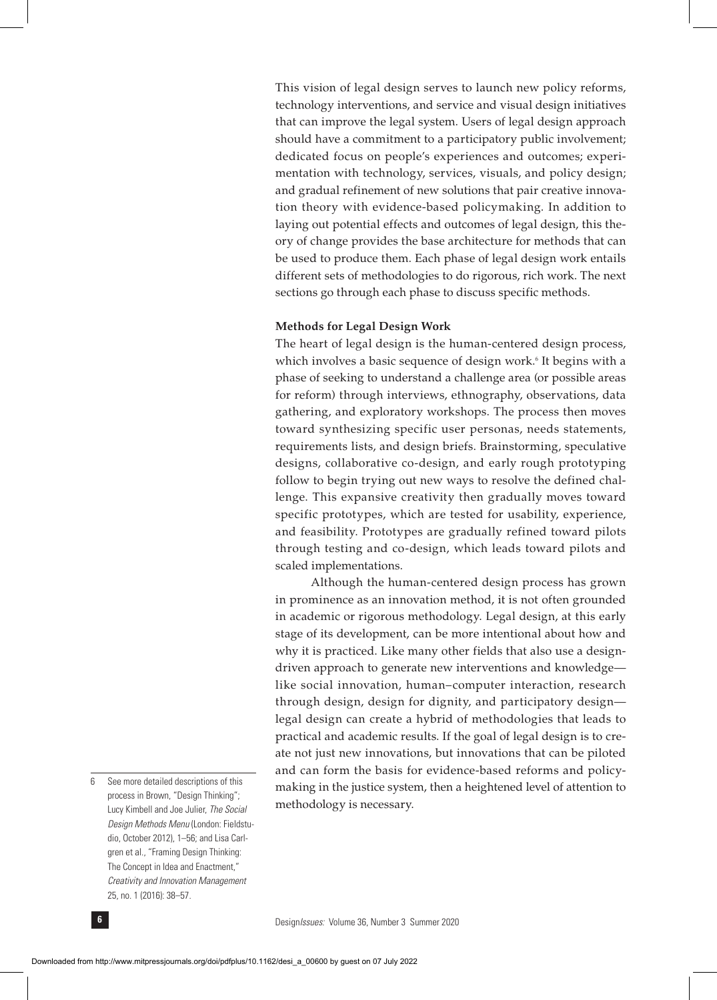This vision of legal design serves to launch new policy reforms, technology interventions, and service and visual design initiatives that can improve the legal system. Users of legal design approach should have a commitment to a participatory public involvement; dedicated focus on people's experiences and outcomes; experimentation with technology, services, visuals, and policy design; and gradual refinement of new solutions that pair creative innovation theory with evidence-based policymaking. In addition to laying out potential effects and outcomes of legal design, this theory of change provides the base architecture for methods that can be used to produce them. Each phase of legal design work entails different sets of methodologies to do rigorous, rich work. The next sections go through each phase to discuss specific methods.

### **Methods for Legal Design Work**

The heart of legal design is the human-centered design process, which involves a basic sequence of design work.<sup>6</sup> It begins with a phase of seeking to understand a challenge area (or possible areas for reform) through interviews, ethnography, observations, data gathering, and exploratory workshops. The process then moves toward synthesizing specific user personas, needs statements, requirements lists, and design briefs. Brainstorming, speculative designs, collaborative co-design, and early rough prototyping follow to begin trying out new ways to resolve the defined challenge. This expansive creativity then gradually moves toward specific prototypes, which are tested for usability, experience, and feasibility. Prototypes are gradually refined toward pilots through testing and co-design, which leads toward pilots and scaled implementations.

Although the human-centered design process has grown in prominence as an innovation method, it is not often grounded in academic or rigorous methodology. Legal design, at this early stage of its development, can be more intentional about how and why it is practiced. Like many other fields that also use a designdriven approach to generate new interventions and knowledge like social innovation, human–computer interaction, research through design, design for dignity, and participatory design legal design can create a hybrid of methodologies that leads to practical and academic results. If the goal of legal design is to create not just new innovations, but innovations that can be piloted and can form the basis for evidence-based reforms and policymaking in the justice system, then a heightened level of attention to methodology is necessary.

<sup>6</sup> See more detailed descriptions of this process in Brown, "Design Thinking"; Lucy Kimbell and Joe Julier, *The Social Design Methods Menu* (London: Fieldstudio, October 2012), 1–56; and Lisa Carlgren et al., "Framing Design Thinking: The Concept in Idea and Enactment," *Creativity and Innovation Management* 25, no. 1 (2016): 38–57.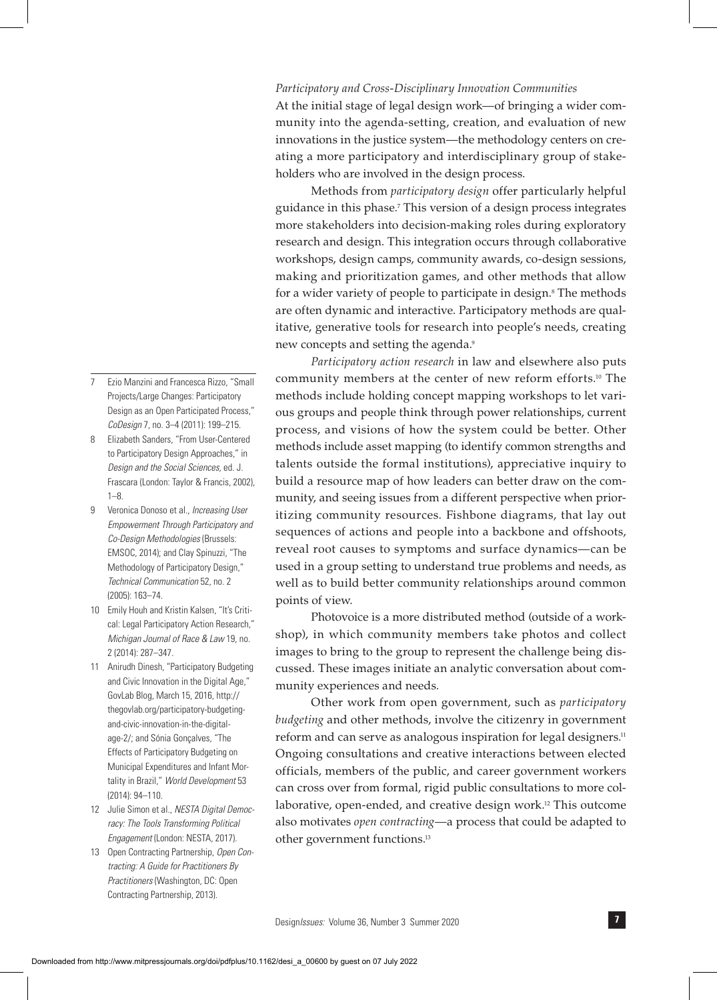- Design*Issues:* Volume 36, Number 3 Summer 2020 **7**
- Downloaded from http://www.mitpressjournals.org/doi/pdfplus/10.1162/desi\_a\_00600 by guest on 07 July 2022
- 7 Ezio Manzini and Francesca Rizzo, "Small Projects/Large Changes: Participatory Design as an Open Participated Process," *CoDesign* 7, no. 3–4 (2011): 199–215.
- 8 Elizabeth Sanders, "From User-Centered to Participatory Design Approaches," in *Design and the Social Sciences,* ed. J. Frascara (London: Taylor & Francis, 2002), 1–8.
- 9 Veronica Donoso et al., *Increasing User Empowerment Through Participatory and Co-Design Methodologies* (Brussels: EMSOC, 2014); and Clay Spinuzzi, "The Methodology of Participatory Design," *Technical Communication* 52, no. 2 (2005): 163–74.
- 10 Emily Houh and Kristin Kalsen, "It's Critical: Legal Participatory Action Research," *Michigan Journal of Race & Law* 19, no. 2 (2014): 287–347.
- 11 Anirudh Dinesh, "Participatory Budgeting and Civic Innovation in the Digital Age," GovLab Blog, March 15, 2016, http:// thegovlab.org/participatory-budgetingand-civic-innovation-in-the-digitalage-2/; and Sónia Gonçalves, "The Effects of Participatory Budgeting on Municipal Expenditures and Infant Mortality in Brazil," *World Development* 53 (2014): 94–110.
- 12 Julie Simon et al., *NESTA Digital Democracy: The Tools Transforming Political Engagement* (London: NESTA, 2017).
- 13 Open Contracting Partnership, *Open Contracting: A Guide for Practitioners By Practitioners* (Washington, DC: Open Contracting Partnership, 2013).

## *Participatory and Cross-Disciplinary Innovation Communities*

At the initial stage of legal design work—of bringing a wider community into the agenda-setting, creation, and evaluation of new innovations in the justice system—the methodology centers on creating a more participatory and interdisciplinary group of stakeholders who are involved in the design process.

Methods from *participatory design* offer particularly helpful guidance in this phase.7 This version of a design process integrates more stakeholders into decision-making roles during exploratory research and design. This integration occurs through collaborative workshops, design camps, community awards, co-design sessions, making and prioritization games, and other methods that allow for a wider variety of people to participate in design.<sup>8</sup> The methods are often dynamic and interactive. Participatory methods are qualitative, generative tools for research into people's needs, creating new concepts and setting the agenda.9

*Participatory action research* in law and elsewhere also puts community members at the center of new reform efforts.10 The methods include holding concept mapping workshops to let various groups and people think through power relationships, current process, and visions of how the system could be better. Other methods include asset mapping (to identify common strengths and talents outside the formal institutions), appreciative inquiry to build a resource map of how leaders can better draw on the community, and seeing issues from a different perspective when prioritizing community resources. Fishbone diagrams, that lay out sequences of actions and people into a backbone and offshoots, reveal root causes to symptoms and surface dynamics—can be used in a group setting to understand true problems and needs, as well as to build better community relationships around common points of view.

Photovoice is a more distributed method (outside of a workshop), in which community members take photos and collect images to bring to the group to represent the challenge being discussed. These images initiate an analytic conversation about community experiences and needs.

Other work from open government, such as *participatory budgeting* and other methods, involve the citizenry in government reform and can serve as analogous inspiration for legal designers.<sup>11</sup> Ongoing consultations and creative interactions between elected officials, members of the public, and career government workers can cross over from formal, rigid public consultations to more collaborative, open-ended, and creative design work.<sup>12</sup> This outcome also motivates *open contracting*—a process that could be adapted to other government functions.13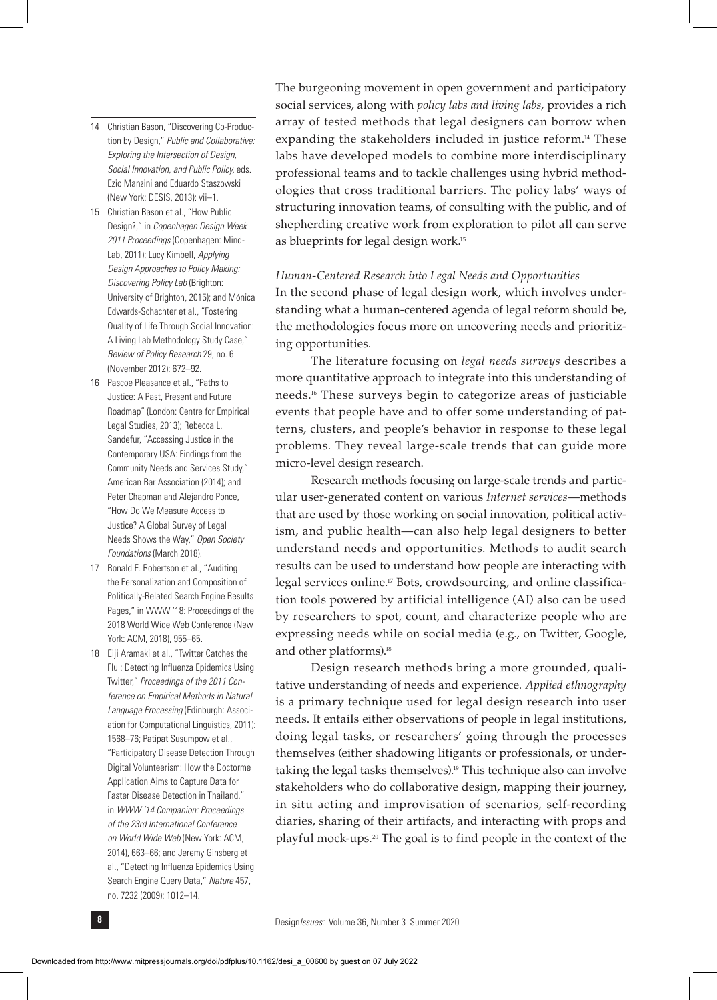- 14 Christian Bason, "Discovering Co-Production by Design," *Public and Collaborative: Exploring the Intersection of Design, Social Innovation, and Public Policy,* eds. Ezio Manzini and Eduardo Staszowski (New York: DESIS, 2013): vii–1.
- 15 Christian Bason et al., "How Public Design?," in *Copenhagen Design Week 2011 Proceedings* (Copenhagen: Mind-Lab, 2011); Lucy Kimbell, *Applying Design Approaches to Policy Making: Discovering Policy Lab* (Brighton: University of Brighton, 2015); and Mónica Edwards-Schachter et al., "Fostering Quality of Life Through Social Innovation: A Living Lab Methodology Study Case," *Review of Policy Research* 29, no. 6 (November 2012): 672–92.
- 16 Pascoe Pleasance et al., "Paths to Justice: A Past, Present and Future Roadmap" (London: Centre for Empirical Legal Studies, 2013); Rebecca L. Sandefur, "Accessing Justice in the Contemporary USA: Findings from the Community Needs and Services Study," American Bar Association (2014); and Peter Chapman and Alejandro Ponce, "How Do We Measure Access to Justice? A Global Survey of Legal Needs Shows the Way," *Open Society Foundations* (March 2018).
- 17 Ronald E. Robertson et al., "Auditing the Personalization and Composition of Politically-Related Search Engine Results Pages," in WWW '18: Proceedings of the 2018 World Wide Web Conference (New York: ACM, 2018), 955–65.
- 18 Eiji Aramaki et al., "Twitter Catches the Flu : Detecting Influenza Epidemics Using Twitter," *Proceedings of the 2011 Conference on Empirical Methods in Natural Language Processing* (Edinburgh: Association for Computational Linguistics, 2011): 1568–76; Patipat Susumpow et al., "Participatory Disease Detection Through Digital Volunteerism: How the Doctorme Application Aims to Capture Data for Faster Disease Detection in Thailand," in *WWW '14 Companion: Proceedings of the 23rd International Conference on World Wide Web* (New York: ACM, 2014), 663–66; and Jeremy Ginsberg et al., "Detecting Influenza Epidemics Using Search Engine Query Data," *Nature* 457, no. 7232 (2009): 1012–14.

The burgeoning movement in open government and participatory social services, along with *policy labs and living labs,* provides a rich array of tested methods that legal designers can borrow when expanding the stakeholders included in justice reform.<sup>14</sup> These labs have developed models to combine more interdisciplinary professional teams and to tackle challenges using hybrid methodologies that cross traditional barriers. The policy labs' ways of structuring innovation teams, of consulting with the public, and of shepherding creative work from exploration to pilot all can serve as blueprints for legal design work.15

### *Human-Centered Research into Legal Needs and Opportunities*

In the second phase of legal design work, which involves understanding what a human-centered agenda of legal reform should be, the methodologies focus more on uncovering needs and prioritizing opportunities.

The literature focusing on *legal needs surveys* describes a more quantitative approach to integrate into this understanding of needs.16 These surveys begin to categorize areas of justiciable events that people have and to offer some understanding of patterns, clusters, and people's behavior in response to these legal problems. They reveal large-scale trends that can guide more micro-level design research.

Research methods focusing on large-scale trends and particular user-generated content on various *Internet services*—methods that are used by those working on social innovation, political activism, and public health—can also help legal designers to better understand needs and opportunities. Methods to audit search results can be used to understand how people are interacting with legal services online.<sup>17</sup> Bots, crowdsourcing, and online classification tools powered by artificial intelligence (AI) also can be used by researchers to spot, count, and characterize people who are expressing needs while on social media (e.g., on Twitter, Google, and other platforms).<sup>18</sup>

Design research methods bring a more grounded, qualitative understanding of needs and experience. *Applied ethnography* is a primary technique used for legal design research into user needs. It entails either observations of people in legal institutions, doing legal tasks, or researchers' going through the processes themselves (either shadowing litigants or professionals, or undertaking the legal tasks themselves).19 This technique also can involve stakeholders who do collaborative design, mapping their journey, in situ acting and improvisation of scenarios, self-recording diaries, sharing of their artifacts, and interacting with props and playful mock-ups.20 The goal is to find people in the context of the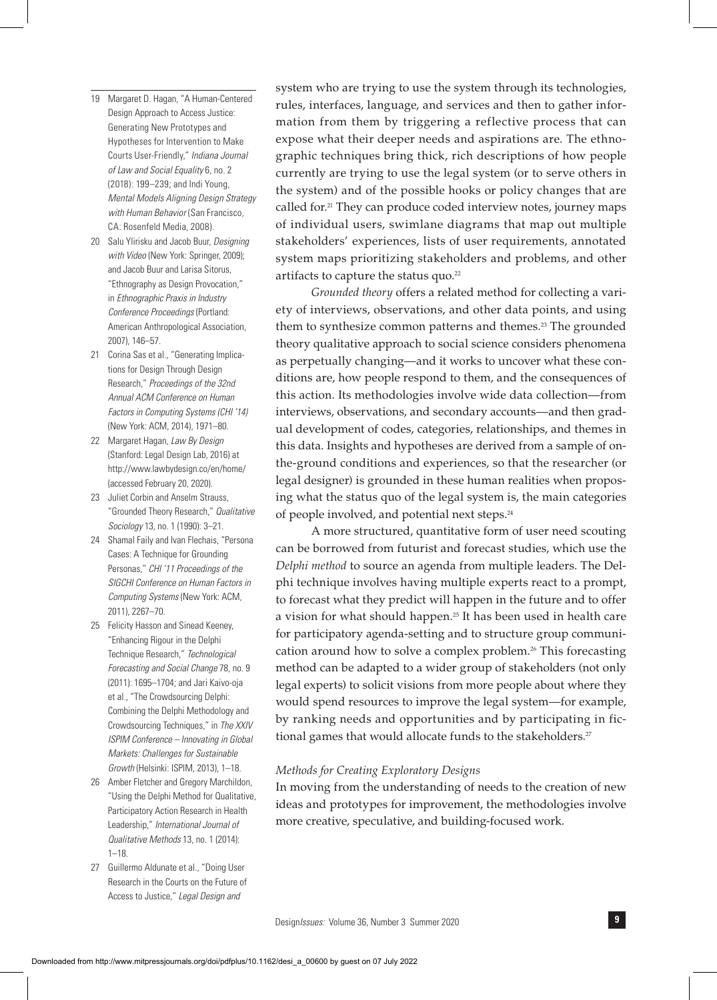- 19 Margaret D. Hagan, "A Human-Centered Design Approach to Access Justice: Generating New Prototypes and Hypotheses for Intervention to Make Courts User-Friendly," *Indiana Journal of Law and Social Equality* 6, no. 2 (2018): 199–239; and Indi Young, *Mental Models Aligning Design Strategy with Human Behavior* (San Francisco, CA: Rosenfeld Media, 2008).
- 20 Salu Ylirisku and Jacob Buur, *Designing with Video* (New York: Springer, 2009); and Jacob Buur and Larisa Sitorus, "Ethnography as Design Provocation," in *Ethnographic Praxis in Industry Conference Proceedings* (Portland: American Anthropological Association, 2007), 146–57.
- 21 Corina Sas et al., "Generating Implications for Design Through Design Research," *Proceedings of the 32nd Annual ACM Conference on Human Factors in Computing Systems (CHI '14)* (New York: ACM, 2014), 1971–80.
- 22 Margaret Hagan, *Law By Design* (Stanford: Legal Design Lab, 2016) at http://www.lawbydesign.co/en/home/ (accessed February 20, 2020).
- 23 Juliet Corbin and Anselm Strauss. "Grounded Theory Research," *Qualitative Sociology* 13, no. 1 (1990): 3–21.
- 24 Shamal Faily and Ivan Flechais, "Persona Cases: A Technique for Grounding Personas," *CHI '11 Proceedings of the SIGCHI Conference on Human Factors in Computing Systems* (New York: ACM, 2011), 2267–70.
- 25 Felicity Hasson and Sinead Keeney, "Enhancing Rigour in the Delphi Technique Research," *Technological Forecasting and Social Change* 78, no. 9 (2011): 1695–1704; and Jari Kaivo-oja et al., "The Crowdsourcing Delphi: Combining the Delphi Methodology and Crowdsourcing Techniques," in *The XXIV ISPIM Conference – Innovating in Global Markets: Challenges for Sustainable Growth* (Helsinki: ISPIM, 2013), 1–18.
- 26 Amber Fletcher and Gregory Marchildon, "Using the Delphi Method for Qualitative, Participatory Action Research in Health Leadership," *International Journal of Qualitative Methods* 13, no. 1 (2014): 1–18.
- 27 Guillermo Aldunate et al., "Doing User Research in the Courts on the Future of Access to Justice," *Legal Design and*

system who are trying to use the system through its technologies, rules, interfaces, language, and services and then to gather information from them by triggering a reflective process that can expose what their deeper needs and aspirations are. The ethnographic techniques bring thick, rich descriptions of how people currently are trying to use the legal system (or to serve others in the system) and of the possible hooks or policy changes that are called for.<sup>21</sup> They can produce coded interview notes, journey maps of individual users, swimlane diagrams that map out multiple stakeholders' experiences, lists of user requirements, annotated system maps prioritizing stakeholders and problems, and other artifacts to capture the status quo.<sup>22</sup>

*Grounded theory* offers a related method for collecting a variety of interviews, observations, and other data points, and using them to synthesize common patterns and themes.<sup>23</sup> The grounded theory qualitative approach to social science considers phenomena as perpetually changing—and it works to uncover what these conditions are, how people respond to them, and the consequences of this action. Its methodologies involve wide data collection—from interviews, observations, and secondary accounts—and then gradual development of codes, categories, relationships, and themes in this data. Insights and hypotheses are derived from a sample of onthe-ground conditions and experiences, so that the researcher (or legal designer) is grounded in these human realities when proposing what the status quo of the legal system is, the main categories of people involved, and potential next steps.24

A more structured, quantitative form of user need scouting can be borrowed from futurist and forecast studies, which use the *Delphi method* to source an agenda from multiple leaders. The Delphi technique involves having multiple experts react to a prompt, to forecast what they predict will happen in the future and to offer a vision for what should happen.25 It has been used in health care for participatory agenda-setting and to structure group communication around how to solve a complex problem.26 This forecasting method can be adapted to a wider group of stakeholders (not only legal experts) to solicit visions from more people about where they would spend resources to improve the legal system—for example, by ranking needs and opportunities and by participating in fictional games that would allocate funds to the stakeholders.<sup>27</sup>

## *Methods for Creating Exploratory Designs*

In moving from the understanding of needs to the creation of new ideas and prototypes for improvement, the methodologies involve more creative, speculative, and building-focused work.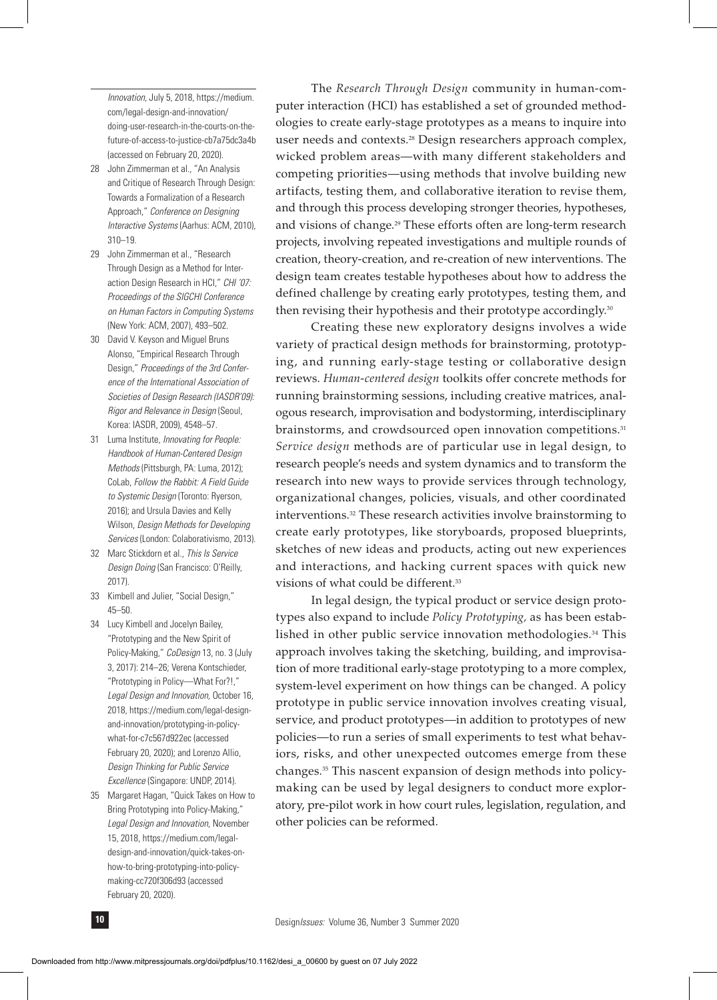*Innovation,* July 5, 2018, https://medium. com/legal-design-and-innovation/ doing-user-research-in-the-courts-on-thefuture-of-access-to-justice-cb7a75dc3a4b (accessed on February 20, 2020).

- 28 John Zimmerman et al., "An Analysis and Critique of Research Through Design: Towards a Formalization of a Research Approach," *Conference on Designing Interactive Systems* (Aarhus: ACM, 2010), 310–19.
- 29 John Zimmerman et al., "Research Through Design as a Method for Interaction Design Research in HCI," *CHI '07: Proceedings of the SIGCHI Conference on Human Factors in Computing Systems* (New York: ACM, 2007), 493–502.
- 30 David V. Keyson and Miguel Bruns Alonso, "Empirical Research Through Design," *Proceedings of the 3rd Conference of the International Association of Societies of Design Research (IASDR'09): Rigor and Relevance in Design* (Seoul, Korea: IASDR, 2009), 4548–57.
- 31 Luma Institute, *Innovating for People: Handbook of Human-Centered Design Methods* (Pittsburgh, PA: Luma, 2012); CoLab, *Follow the Rabbit: A Field Guide to Systemic Design* (Toronto: Ryerson, 2016); and Ursula Davies and Kelly Wilson, *Design Methods for Developing Services* (London: Colaborativismo, 2013).
- 32 Marc Stickdorn et al., *This Is Service Design Doing* (San Francisco: O'Reilly, 2017).
- 33 Kimbell and Julier, "Social Design," 45–50.
- 34 Lucy Kimbell and Jocelyn Bailey, "Prototyping and the New Spirit of Policy-Making," *CoDesign* 13, no. 3 (July 3, 2017): 214–26; Verena Kontschieder, "Prototyping in Policy—What For?!," *Legal Design and Innovation,* October 16, 2018, https://medium.com/legal-designand-innovation/prototyping-in-policywhat-for-c7c567d922ec (accessed February 20, 2020); and Lorenzo Allio, *Design Thinking for Public Service Excellence* (Singapore: UNDP, 2014).
- 35 Margaret Hagan, "Quick Takes on How to Bring Prototyping into Policy-Making," *Legal Design and Innovation,* November 15, 2018, https://medium.com/legaldesign-and-innovation/quick-takes-onhow-to-bring-prototyping-into-policymaking-cc720f306d93 (accessed February 20, 2020).

The *Research Through Design* community in human-computer interaction (HCI) has established a set of grounded methodologies to create early-stage prototypes as a means to inquire into user needs and contexts.28 Design researchers approach complex, wicked problem areas—with many different stakeholders and competing priorities—using methods that involve building new artifacts, testing them, and collaborative iteration to revise them, and through this process developing stronger theories, hypotheses, and visions of change.29 These efforts often are long-term research projects, involving repeated investigations and multiple rounds of creation, theory-creation, and re-creation of new interventions. The design team creates testable hypotheses about how to address the defined challenge by creating early prototypes, testing them, and then revising their hypothesis and their prototype accordingly.<sup>30</sup>

Creating these new exploratory designs involves a wide variety of practical design methods for brainstorming, prototyping, and running early-stage testing or collaborative design reviews. *Human-centered design* toolkits offer concrete methods for running brainstorming sessions, including creative matrices, analogous research, improvisation and bodystorming, interdisciplinary brainstorms, and crowdsourced open innovation competitions.<sup>31</sup> *Service design* methods are of particular use in legal design, to research people's needs and system dynamics and to transform the research into new ways to provide services through technology, organizational changes, policies, visuals, and other coordinated interventions.32 These research activities involve brainstorming to create early prototypes, like storyboards, proposed blueprints, sketches of new ideas and products, acting out new experiences and interactions, and hacking current spaces with quick new visions of what could be different.<sup>33</sup>

In legal design, the typical product or service design prototypes also expand to include *Policy Prototyping,* as has been established in other public service innovation methodologies.34 This approach involves taking the sketching, building, and improvisation of more traditional early-stage prototyping to a more complex, system-level experiment on how things can be changed. A policy prototype in public service innovation involves creating visual, service, and product prototypes—in addition to prototypes of new policies—to run a series of small experiments to test what behaviors, risks, and other unexpected outcomes emerge from these changes.35 This nascent expansion of design methods into policymaking can be used by legal designers to conduct more exploratory, pre-pilot work in how court rules, legislation, regulation, and other policies can be reformed.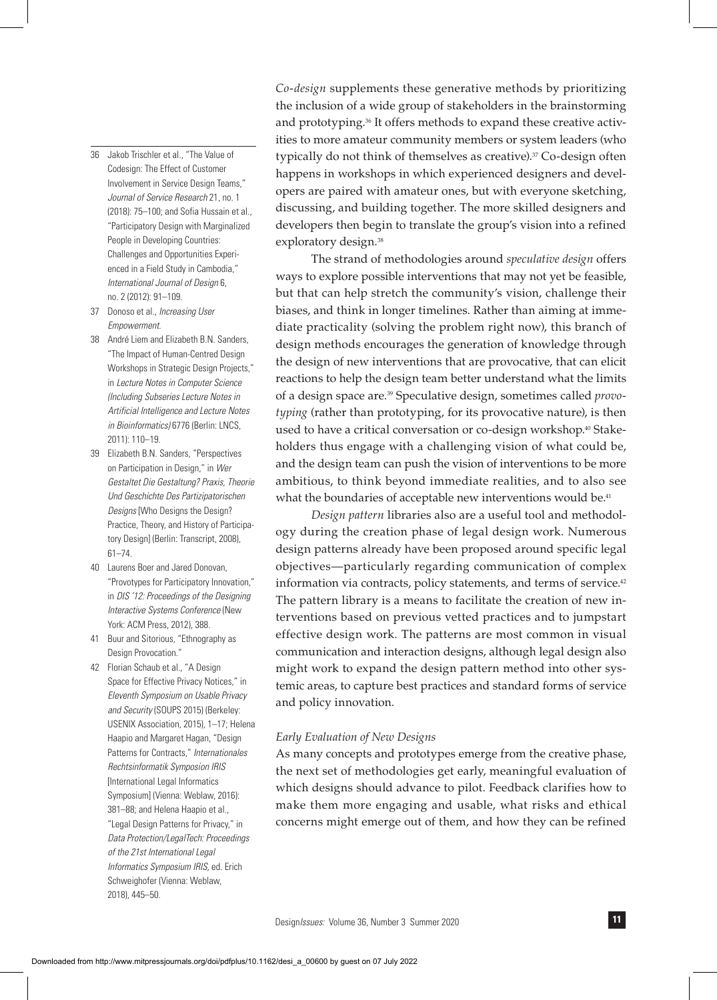- 36 Jakob Trischler et al., "The Value of Codesign: The Effect of Customer Involvement in Service Design Teams," *Journal of Service Research* 21, no. 1 (2018): 75–100; and Sofia Hussain et al., "Participatory Design with Marginalized People in Developing Countries: Challenges and Opportunities Experienced in a Field Study in Cambodia," *International Journal of Design* 6, no. 2 (2012): 91–109.
- 37 Donoso et al., *Increasing User Empowerment.*
- 38 André Liem and Elizabeth B.N. Sanders, "The Impact of Human-Centred Design Workshops in Strategic Design Projects," in *Lecture Notes in Computer Science (Including Subseries Lecture Notes in Artificial Intelligence and Lecture Notes in Bioinformatics)* 6776 (Berlin: LNCS, 2011): 110–19.
- 39 Elizabeth B.N. Sanders, "Perspectives on Participation in Design," in *Wer Gestaltet Die Gestaltung? Praxis, Theorie Und Geschichte Des Partizipatorischen Designs* [Who Designs the Design? Practice, Theory, and History of Participatory Design] (Berlin: Transcript, 2008), 61–74.
- 40 Laurens Boer and Jared Donovan, "Provotypes for Participatory Innovation," in *DIS '12: Proceedings of the Designing Interactive Systems Conference* (New York: ACM Press, 2012), 388.
- 41 Buur and Sitorious, "Ethnography as Design Provocation."
- 42 Florian Schaub et al., "A Design Space for Effective Privacy Notices," in *Eleventh Symposium on Usable Privacy and Security* (SOUPS 2015) (Berkeley: USENIX Association, 2015), 1–17; Helena Haapio and Margaret Hagan, "Design Patterns for Contracts," *Internationales Rechtsinformatik Symposion IRIS* [International Legal Informatics Symposium] (Vienna: Weblaw, 2016): 381–88; and Helena Haapio et al., "Legal Design Patterns for Privacy," in *Data Protection/LegalTech: Proceedings of the 21st International Legal Informatics Symposium IRIS,* ed. Erich Schweighofer (Vienna: Weblaw, 2018), 445–50.

*Co-design* supplements these generative methods by prioritizing the inclusion of a wide group of stakeholders in the brainstorming and prototyping.<sup>36</sup> It offers methods to expand these creative activities to more amateur community members or system leaders (who typically do not think of themselves as creative).<sup>37</sup> Co-design often happens in workshops in which experienced designers and developers are paired with amateur ones, but with everyone sketching, discussing, and building together. The more skilled designers and developers then begin to translate the group's vision into a refined exploratory design.<sup>38</sup>

The strand of methodologies around *speculative design* offers ways to explore possible interventions that may not yet be feasible, but that can help stretch the community's vision, challenge their biases, and think in longer timelines. Rather than aiming at immediate practicality (solving the problem right now), this branch of design methods encourages the generation of knowledge through the design of new interventions that are provocative, that can elicit reactions to help the design team better understand what the limits of a design space are.39 Speculative design, sometimes called *provotyping* (rather than prototyping, for its provocative nature), is then used to have a critical conversation or co-design workshop.<sup>40</sup> Stakeholders thus engage with a challenging vision of what could be, and the design team can push the vision of interventions to be more ambitious, to think beyond immediate realities, and to also see what the boundaries of acceptable new interventions would be.<sup>41</sup>

*Design pattern* libraries also are a useful tool and methodology during the creation phase of legal design work. Numerous design patterns already have been proposed around specific legal objectives—particularly regarding communication of complex information via contracts, policy statements, and terms of service.<sup>42</sup> The pattern library is a means to facilitate the creation of new interventions based on previous vetted practices and to jumpstart effective design work. The patterns are most common in visual communication and interaction designs, although legal design also might work to expand the design pattern method into other systemic areas, to capture best practices and standard forms of service and policy innovation.

### *Early Evaluation of New Designs*

As many concepts and prototypes emerge from the creative phase, the next set of methodologies get early, meaningful evaluation of which designs should advance to pilot. Feedback clarifies how to make them more engaging and usable, what risks and ethical concerns might emerge out of them, and how they can be refined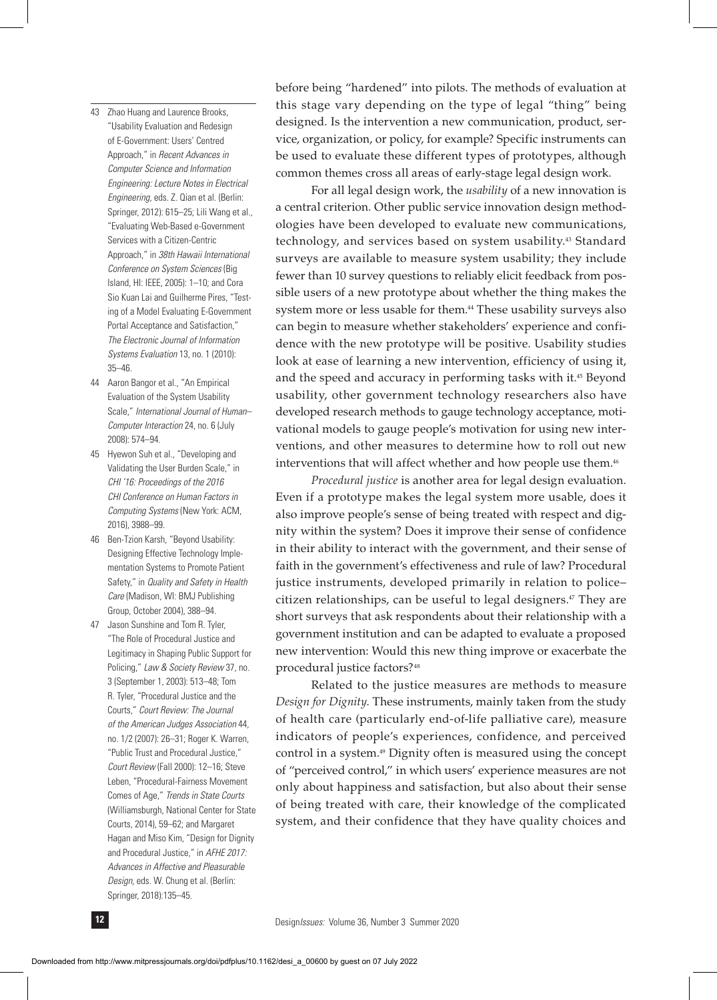- 43 Zhao Huang and Laurence Brooks, "Usability Evaluation and Redesign of E-Government: Users' Centred Approach," in *Recent Advances in Computer Science and Information Engineering: Lecture Notes in Electrical Engineering,* eds. Z. Qian et al. (Berlin: Springer, 2012): 615–25; Lili Wang et al., "Evaluating Web-Based e-Government Services with a Citizen-Centric Approach," in *38th Hawaii International Conference on System Sciences* (Big Island, HI: IEEE, 2005): 1–10; and Cora Sio Kuan Lai and Guilherme Pires, "Testing of a Model Evaluating E-Government Portal Acceptance and Satisfaction," *The Electronic Journal of Information Systems Evaluation* 13, no. 1 (2010): 35–46.
- 44 Aaron Bangor et al., "An Empirical Evaluation of the System Usability Scale," *International Journal of Human– Computer Interaction* 24, no. 6 (July 2008): 574–94.
- 45 Hyewon Suh et al., "Developing and Validating the User Burden Scale," in *CHI '16: Proceedings of the 2016 CHI Conference on Human Factors in Computing Systems* (New York: ACM, 2016), 3988–99.
- 46 Ben-Tzion Karsh, "Beyond Usability: Designing Effective Technology Implementation Systems to Promote Patient Safety," in *Quality and Safety in Health Care* (Madison, WI: BMJ Publishing Group, October 2004), 388–94.
- 47 Jason Sunshine and Tom R. Tyler, "The Role of Procedural Justice and Legitimacy in Shaping Public Support for Policing," *Law & Society Review* 37, no. 3 (September 1, 2003): 513–48; Tom R. Tyler, "Procedural Justice and the Courts," *Court Review: The Journal of the American Judges Association* 44, no. 1/2 (2007): 26–31; Roger K. Warren, "Public Trust and Procedural Justice," *Court Review* (Fall 2000): 12–16; Steve Leben, "Procedural-Fairness Movement Comes of Age," *Trends in State Courts* (Williamsburgh, National Center for State Courts, 2014), 59–62; and Margaret Hagan and Miso Kim, "Design for Dignity and Procedural Justice," in *AFHE 2017: Advances in Affective and Pleasurable Design,* eds. W. Chung et al. (Berlin: Springer, 2018):135–45.

before being "hardened" into pilots. The methods of evaluation at this stage vary depending on the type of legal "thing" being designed. Is the intervention a new communication, product, service, organization, or policy, for example? Specific instruments can be used to evaluate these different types of prototypes, although common themes cross all areas of early-stage legal design work.

For all legal design work, the *usability* of a new innovation is a central criterion. Other public service innovation design methodologies have been developed to evaluate new communications, technology, and services based on system usability.<sup>43</sup> Standard surveys are available to measure system usability; they include fewer than 10 survey questions to reliably elicit feedback from possible users of a new prototype about whether the thing makes the system more or less usable for them.44 These usability surveys also can begin to measure whether stakeholders' experience and confidence with the new prototype will be positive. Usability studies look at ease of learning a new intervention, efficiency of using it, and the speed and accuracy in performing tasks with it.<sup>45</sup> Beyond usability, other government technology researchers also have developed research methods to gauge technology acceptance, motivational models to gauge people's motivation for using new interventions, and other measures to determine how to roll out new interventions that will affect whether and how people use them.<sup>46</sup>

*Procedural justice* is another area for legal design evaluation. Even if a prototype makes the legal system more usable, does it also improve people's sense of being treated with respect and dignity within the system? Does it improve their sense of confidence in their ability to interact with the government, and their sense of faith in the government's effectiveness and rule of law? Procedural justice instruments, developed primarily in relation to police– citizen relationships, can be useful to legal designers.<sup>47</sup> They are short surveys that ask respondents about their relationship with a government institution and can be adapted to evaluate a proposed new intervention: Would this new thing improve or exacerbate the procedural justice factors?48

Related to the justice measures are methods to measure *Design for Dignity.* These instruments, mainly taken from the study of health care (particularly end-of-life palliative care), measure indicators of people's experiences, confidence, and perceived control in a system.49 Dignity often is measured using the concept of "perceived control," in which users' experience measures are not only about happiness and satisfaction, but also about their sense of being treated with care, their knowledge of the complicated system, and their confidence that they have quality choices and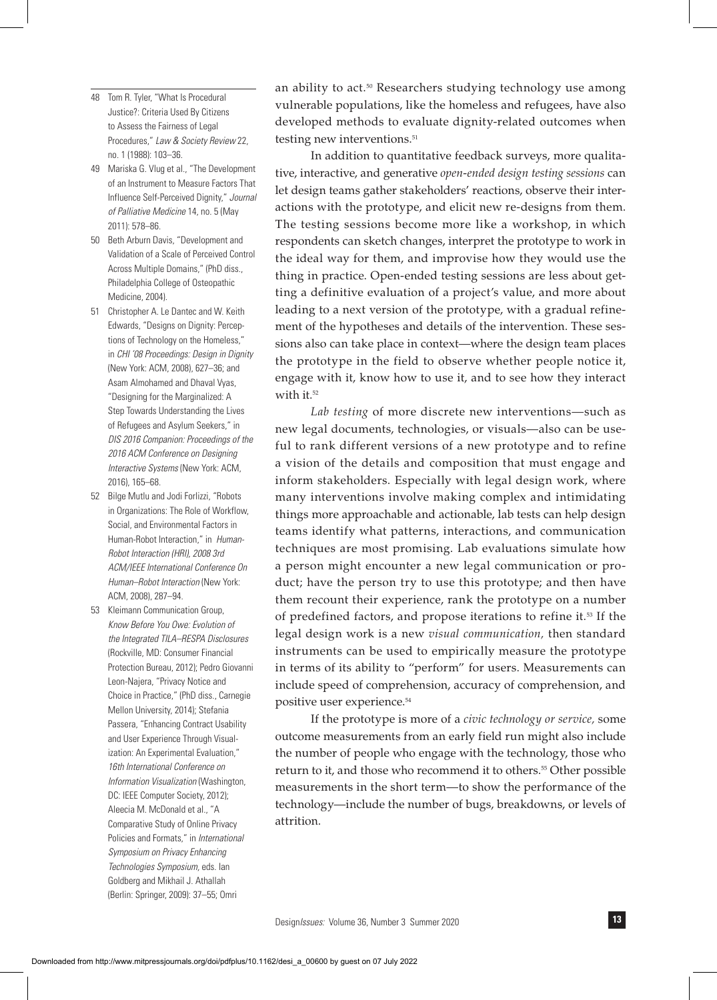- 48 Tom R. Tyler, "What Is Procedural Justice?: Criteria Used By Citizens to Assess the Fairness of Legal Procedures," *Law & Society Review* 22, no. 1 (1988): 103–36.
- 49 Mariska G. Vlug et al., "The Development of an Instrument to Measure Factors That Influence Self-Perceived Dignity," *Journal of Palliative Medicine* 14, no. 5 (May 2011): 578–86.
- 50 Beth Arburn Davis, "Development and Validation of a Scale of Perceived Control Across Multiple Domains," (PhD diss., Philadelphia College of Osteopathic Medicine, 2004).
- 51 Christopher A. Le Dantec and W. Keith Edwards, "Designs on Dignity: Perceptions of Technology on the Homeless," in *CHI '08 Proceedings: Design in Dignity* (New York: ACM, 2008), 627–36; and Asam Almohamed and Dhaval Vyas, "Designing for the Marginalized: A Step Towards Understanding the Lives of Refugees and Asylum Seekers," in *DIS 2016 Companion: Proceedings of the 2016 ACM Conference on Designing Interactive Systems* (New York: ACM, 2016), 165–68.
- 52 Bilge Mutlu and Jodi Forlizzi, "Robots in Organizations: The Role of Workflow, Social, and Environmental Factors in Human-Robot Interaction," in *Human-Robot Interaction (HRI), 2008 3rd ACM/IEEE International Conference On Human–Robot Interaction* (New York: ACM, 2008), 287–94.
- 53 Kleimann Communication Group, *Know Before You Owe: Evolution of the Integrated TILA–RESPA Disclosures* (Rockville, MD: Consumer Financial Protection Bureau, 2012); Pedro Giovanni Leon-Najera, "Privacy Notice and Choice in Practice," (PhD diss., Carnegie Mellon University, 2014); Stefania Passera, "Enhancing Contract Usability and User Experience Through Visualization: An Experimental Evaluation," *16th International Conference on Information Visualization* (Washington, DC: IEEE Computer Society, 2012); Aleecia M. McDonald et al., "A Comparative Study of Online Privacy Policies and Formats," in *International Symposium on Privacy Enhancing Technologies Symposium,* eds. Ian Goldberg and Mikhail J. Athallah (Berlin: Springer, 2009): 37–55; Omri

an ability to act.<sup>50</sup> Researchers studying technology use among vulnerable populations, like the homeless and refugees, have also developed methods to evaluate dignity-related outcomes when testing new interventions.<sup>51</sup>

In addition to quantitative feedback surveys, more qualitative, interactive, and generative *open-ended design testing sessions* can let design teams gather stakeholders' reactions, observe their interactions with the prototype, and elicit new re-designs from them. The testing sessions become more like a workshop, in which respondents can sketch changes, interpret the prototype to work in the ideal way for them, and improvise how they would use the thing in practice. Open-ended testing sessions are less about getting a definitive evaluation of a project's value, and more about leading to a next version of the prototype, with a gradual refinement of the hypotheses and details of the intervention. These sessions also can take place in context—where the design team places the prototype in the field to observe whether people notice it, engage with it, know how to use it, and to see how they interact with it.<sup>52</sup>

*Lab testing* of more discrete new interventions—such as new legal documents, technologies, or visuals—also can be useful to rank different versions of a new prototype and to refine a vision of the details and composition that must engage and inform stakeholders. Especially with legal design work, where many interventions involve making complex and intimidating things more approachable and actionable, lab tests can help design teams identify what patterns, interactions, and communication techniques are most promising. Lab evaluations simulate how a person might encounter a new legal communication or product; have the person try to use this prototype; and then have them recount their experience, rank the prototype on a number of predefined factors, and propose iterations to refine it.53 If the legal design work is a new *visual communication,* then standard instruments can be used to empirically measure the prototype in terms of its ability to "perform" for users. Measurements can include speed of comprehension, accuracy of comprehension, and positive user experience.54

If the prototype is more of a *civic technology or service,* some outcome measurements from an early field run might also include the number of people who engage with the technology, those who return to it, and those who recommend it to others.<sup>55</sup> Other possible measurements in the short term—to show the performance of the technology—include the number of bugs, breakdowns, or levels of attrition.

Design*Issues:* Volume 36, Number 3 Summer 2020 **13**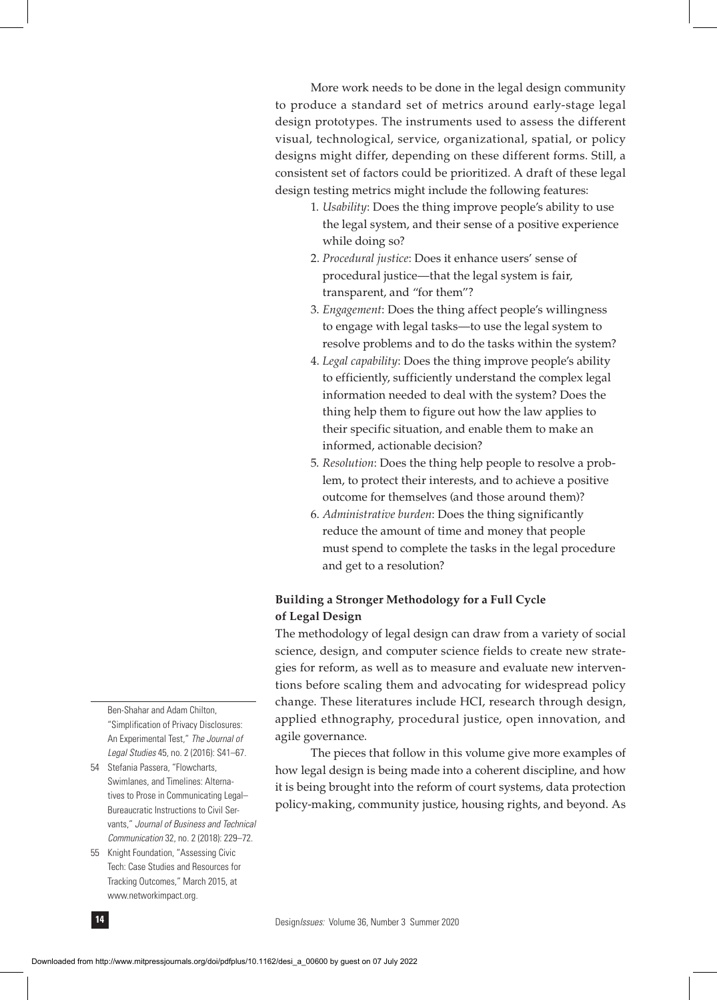More work needs to be done in the legal design community to produce a standard set of metrics around early-stage legal design prototypes. The instruments used to assess the different visual, technological, service, organizational, spatial, or policy designs might differ, depending on these different forms. Still, a consistent set of factors could be prioritized. A draft of these legal design testing metrics might include the following features:

- 1. *Usability*: Does the thing improve people's ability to use the legal system, and their sense of a positive experience while doing so?
- 2. *Procedural justice*: Does it enhance users' sense of procedural justice—that the legal system is fair, transparent, and "for them"?
- 3. *Engagement*: Does the thing affect people's willingness to engage with legal tasks—to use the legal system to resolve problems and to do the tasks within the system?
- 4. *Legal capability*: Does the thing improve people's ability to efficiently, sufficiently understand the complex legal information needed to deal with the system? Does the thing help them to figure out how the law applies to their specific situation, and enable them to make an informed, actionable decision?
- 5. *Resolution*: Does the thing help people to resolve a prob lem, to protect their interests, and to achieve a positive outcome for themselves (and those around them)?
- 6. *Administrative burden*: Does the thing significantly reduce the amount of time and money that people must spend to complete the tasks in the legal procedure and get to a resolution?

## **Building a Stronger Methodology for a Full Cycle of Legal Design**

The methodology of legal design can draw from a variety of social science, design, and computer science fields to create new strategies for reform, as well as to measure and evaluate new interventions before scaling them and advocating for widespread policy change. These literatures include HCI, research through design, applied ethnography, procedural justice, open innovation, and agile governance.

The pieces that follow in this volume give more examples of how legal design is being made into a coherent discipline, and how it is being brought into the reform of court systems, data protection policy-making, community justice, housing rights, and beyond. As

Ben-Shahar and Adam Chilton, "Simplification of Privacy Disclosures: An Experimental Test," *The Journal of Legal Studies* 45, no. 2 (2016): S41–67.

- 54 Stefania Passera, "Flowcharts, Swimlanes, and Timelines: Alternatives to Prose in Communicating Legal– Bureaucratic Instructions to Civil Servants," *Journal of Business and Technical Communication* 32, no. 2 (2018): 229–72.
- 55 Knight Foundation, "Assessing Civic Tech: Case Studies and Resources for Tracking Outcomes," March 2015, at www.networkimpact.org.